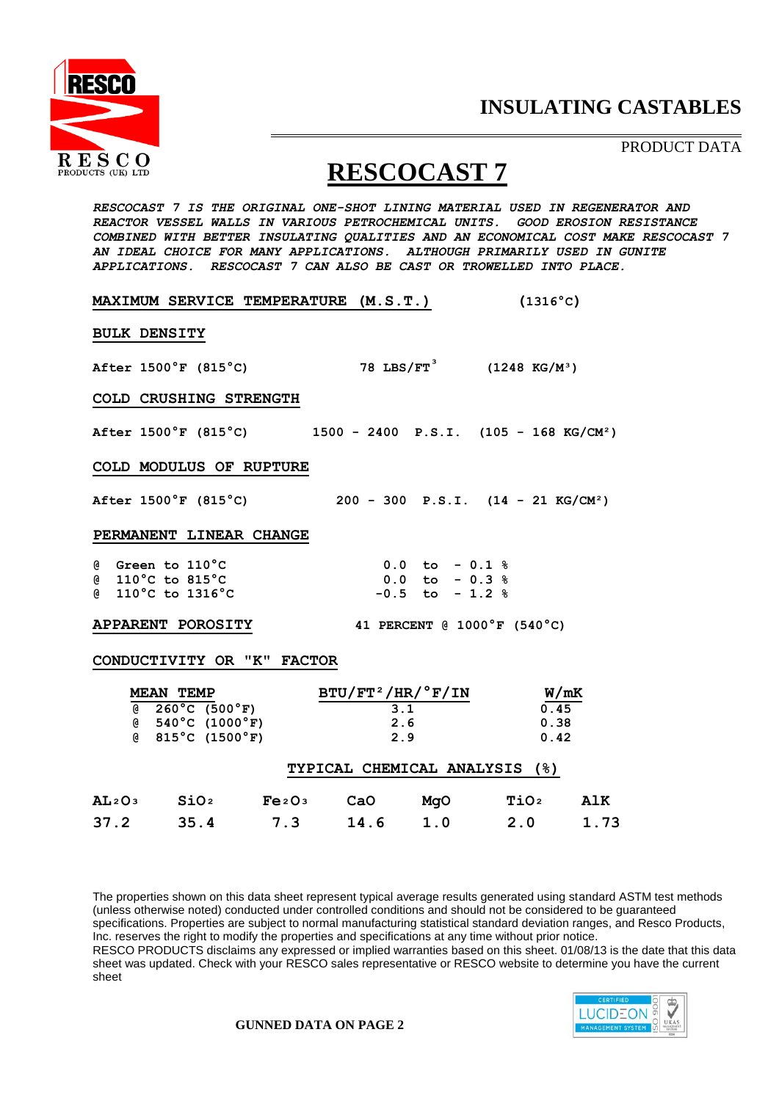

PRODUCT DATA

# **RESCOCAST 7**

*RESCOCAST 7 IS THE ORIGINAL ONE-SHOT LINING MATERIAL USED IN REGENERATOR AND REACTOR VESSEL WALLS IN VARIOUS PETROCHEMICAL UNITS. GOOD EROSION RESISTANCE COMBINED WITH BETTER INSULATING QUALITIES AND AN ECONOMICAL COST MAKE RESCOCAST 7 AN IDEAL CHOICE FOR MANY APPLICATIONS. ALTHOUGH PRIMARILY USED IN GUNITE APPLICATIONS. RESCOCAST 7 CAN ALSO BE CAST OR TROWELLED INTO PLACE.*

| <b>MAXIMUM SERVICE TEMPERATURE (M.S.T.)</b>                                                    |                                                                 | $(1316^{\circ}C)$          |  |  |  |
|------------------------------------------------------------------------------------------------|-----------------------------------------------------------------|----------------------------|--|--|--|
| <b>BULK DENSITY</b>                                                                            |                                                                 |                            |  |  |  |
| After $1500^{\circ}$ F (815 <sup>°</sup> C)                                                    | 78 LBS/FT <sup>3</sup> (1248 KG/M <sup>3</sup> )                |                            |  |  |  |
| COLD CRUSHING STRENGTH                                                                         |                                                                 |                            |  |  |  |
| After $1500^{\circ}$ F (815 <sup>°</sup> C) 1500 - 2400 P.S.I. (105 - 168 KG/CM <sup>2</sup> ) |                                                                 |                            |  |  |  |
| COLD MODULUS OF RUPTURE                                                                        |                                                                 |                            |  |  |  |
| After $1500^{\circ}$ F (815 $^{\circ}$ C)                                                      | $200 - 300$ P.S.I. $(14 - 21$ KG/CM <sup>2</sup> )              |                            |  |  |  |
| PERMANENT LINEAR CHANGE                                                                        |                                                                 |                            |  |  |  |
| @ Green to 110°C<br>@ 110°C to 815°C<br>@ 110°C to 1316°C                                      | $0.0$ to $-0.1$ %<br>$0.0$ to $-0.3$ %<br>$-0.5$ to $-1.2$ %    |                            |  |  |  |
| 41 PERCENT @ $1000^{\circ}$ F (540 <sup>°</sup> C)<br><b>APPARENT POROSITY</b>                 |                                                                 |                            |  |  |  |
| CONDUCTIVITY OR "K" FACTOR                                                                     |                                                                 |                            |  |  |  |
| <b>MEAN TEMP</b>                                                                               | $\texttt{BTU}/\texttt{FT}^2/\texttt{HR}/\text{^oF}/\texttt{IN}$ | W/mK                       |  |  |  |
| $(8 \t260^{\circ} \text{C} \t(500^{\circ} \text{F}))$                                          | 3.1                                                             | 0.45                       |  |  |  |
| $(8 \t 540^{\circ}C (1000^{\circ}F))$<br>$(8.815^{\circ}C)(1500^{\circ}F)$                     | 2.6<br>2.9                                                      | 0.38<br>0.42               |  |  |  |
|                                                                                                | TYPICAL CHEMICAL ANALYSIS (%)                                   |                            |  |  |  |
| AL <sub>2</sub> O <sub>3</sub> SiO <sub>2</sub> Fe <sub>2</sub> O <sub>3</sub> CaO             | MgO                                                             | <b>TiO</b> 2<br><b>AlK</b> |  |  |  |

**37.2 35.4 7.3 14.6 1.0 2.0 1.73**

The properties shown on this data sheet represent typical average results generated using standard ASTM test methods (unless otherwise noted) conducted under controlled conditions and should not be considered to be guaranteed specifications. Properties are subject to normal manufacturing statistical standard deviation ranges, and Resco Products, Inc. reserves the right to modify the properties and specifications at any time without prior notice. RESCO PRODUCTS disclaims any expressed or implied warranties based on this sheet. 01/08/13 is the date that this data sheet was updated. Check with your RESCO sales representative or RESCO website to determine you have the current sheet



**GUNNED DATA ON PAGE 2**